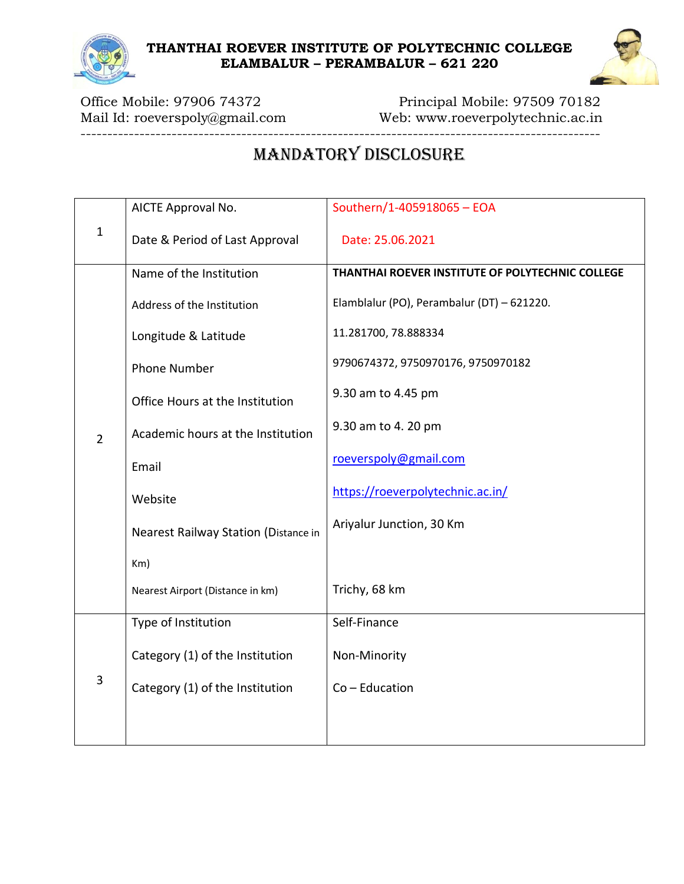

Mail Id: roeverspoly@gmail.com Web: www.roeverpolytechnic.ac.in  $-1$  ,  $-2$  ,  $-3$  ,  $-3$  ,  $-3$  ,  $-3$  ,  $-3$  ,  $-3$  ,  $-3$  ,  $-3$  ,  $-3$  ,  $-3$  ,  $-3$  ,  $-3$  ,  $-3$  ,  $-3$  ,  $-3$  ,  $-3$  ,  $-3$  ,  $-3$  ,  $-3$  ,  $-3$  ,  $-3$  ,  $-3$  ,  $-3$  ,  $-3$  ,  $-3$  ,  $-3$  ,  $-3$  ,  $-3$  ,  $-3$  ,  $-3$ 

Office Mobile: 97906 74372 Principal Mobile: 97509 70182

# MANDATORY DISCLOSURE

|                | AICTE Approval No.                   | Southern/1-405918065 - EOA                       |
|----------------|--------------------------------------|--------------------------------------------------|
| $\mathbf 1$    | Date & Period of Last Approval       | Date: 25.06.2021                                 |
|                | Name of the Institution              | THANTHAI ROEVER INSTITUTE OF POLYTECHNIC COLLEGE |
|                | Address of the Institution           | Elamblalur (PO), Perambalur (DT) - 621220.       |
|                | Longitude & Latitude                 | 11.281700, 78.888334                             |
|                | <b>Phone Number</b>                  | 9790674372, 9750970176, 9750970182               |
|                | Office Hours at the Institution      | 9.30 am to 4.45 pm                               |
| $\overline{2}$ | Academic hours at the Institution    | 9.30 am to 4. 20 pm                              |
|                | Email                                | roeverspoly@gmail.com                            |
|                | Website                              | https://roeverpolytechnic.ac.in/                 |
|                | Nearest Railway Station (Distance in | Ariyalur Junction, 30 Km                         |
|                | Km)                                  |                                                  |
|                | Nearest Airport (Distance in km)     | Trichy, 68 km                                    |
|                | Type of Institution                  | Self-Finance                                     |
| 3              | Category (1) of the Institution      | Non-Minority                                     |
|                | Category (1) of the Institution      | $Co - Education$                                 |
|                |                                      |                                                  |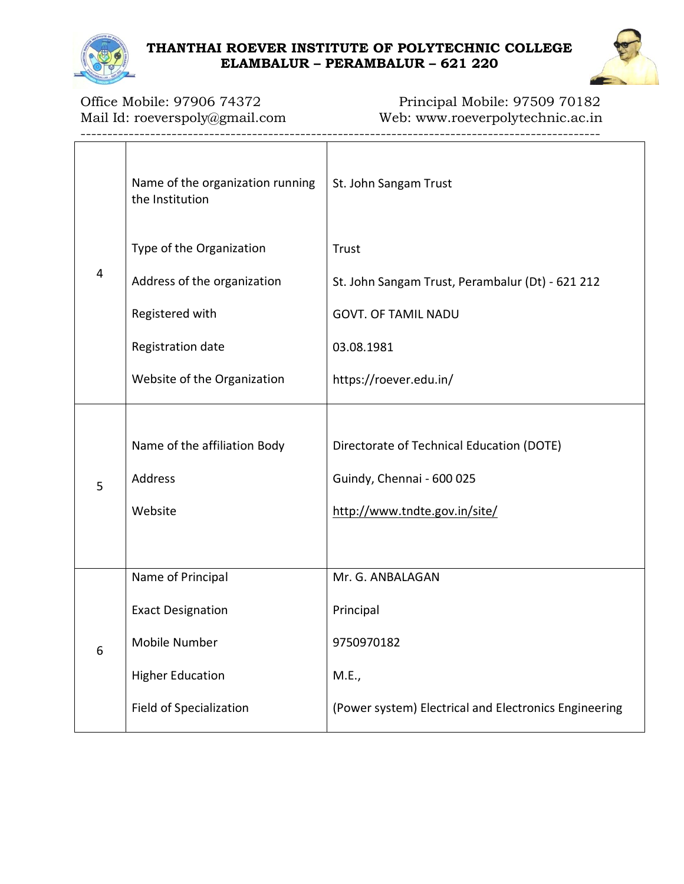

-------------------------------------------------------------------------------------------------

Office Mobile: 97906 74372 Principal Mobile: 97509 70182 Mail Id: roeverspoly@gmail.com Web: www.roeverpolytechnic.ac.in

|   | Name of the organization running<br>the Institution | St. John Sangam Trust                                 |
|---|-----------------------------------------------------|-------------------------------------------------------|
|   | Type of the Organization                            | Trust                                                 |
| 4 | Address of the organization                         | St. John Sangam Trust, Perambalur (Dt) - 621 212      |
|   | Registered with                                     | <b>GOVT. OF TAMIL NADU</b>                            |
|   | Registration date                                   | 03.08.1981                                            |
|   | Website of the Organization                         | https://roever.edu.in/                                |
| 5 |                                                     |                                                       |
|   | Name of the affiliation Body                        | Directorate of Technical Education (DOTE)             |
|   | Address                                             | Guindy, Chennai - 600 025                             |
|   | Website                                             | http://www.tndte.gov.in/site/                         |
|   |                                                     |                                                       |
|   | Name of Principal                                   | Mr. G. ANBALAGAN                                      |
|   | <b>Exact Designation</b>                            | Principal                                             |
| ь | Mobile Number                                       | 9750970182                                            |
|   | <b>Higher Education</b>                             | M.E.,                                                 |
|   | Field of Specialization                             | (Power system) Electrical and Electronics Engineering |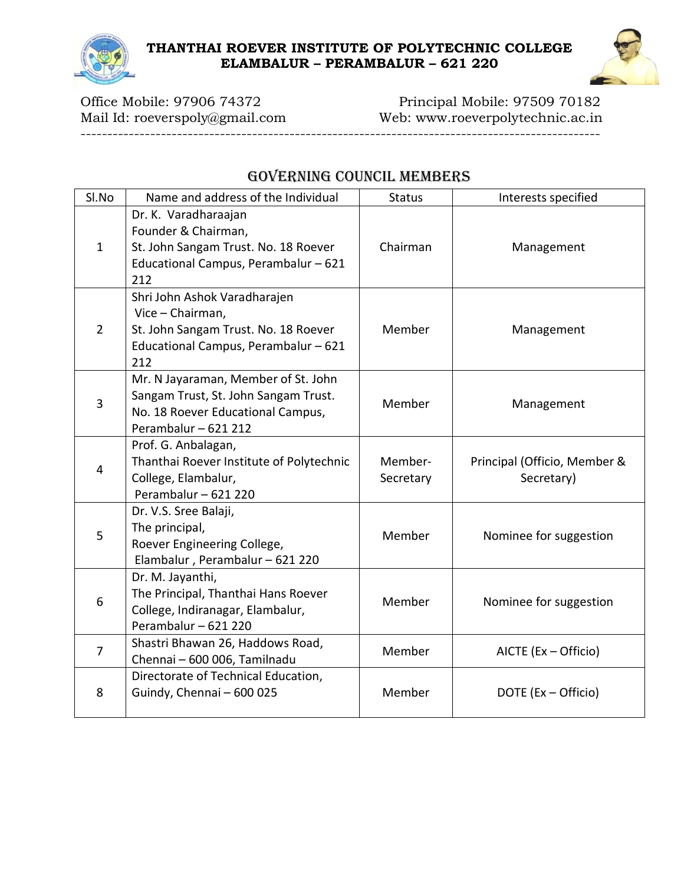

Office Mobile: 97906 74372 Principal Mobile: 97509 70182 Mail Id: roeverspoly@gmail.com Web: www.roeverpolytechnic.ac.in

-------------------------------------------------------------------------------------------------

# GOVERNING COUNCIL MEMBERS

| Sl.No          | Name and address of the Individual                                                                                                       | <b>Status</b>        | Interests specified                        |
|----------------|------------------------------------------------------------------------------------------------------------------------------------------|----------------------|--------------------------------------------|
| $\mathbf{1}$   | Dr. K. Varadharaajan<br>Founder & Chairman,<br>St. John Sangam Trust. No. 18 Roever<br>Educational Campus, Perambalur - 621<br>212       | Chairman             | Management                                 |
| $\overline{2}$ | Shri John Ashok Varadharajen<br>Vice - Chairman,<br>St. John Sangam Trust. No. 18 Roever<br>Educational Campus, Perambalur - 621<br>212  | Member               | Management                                 |
| $\overline{3}$ | Mr. N Jayaraman, Member of St. John<br>Sangam Trust, St. John Sangam Trust.<br>No. 18 Roever Educational Campus,<br>Perambalur - 621 212 | Member               | Management                                 |
| $\overline{4}$ | Prof. G. Anbalagan,<br>Thanthai Roever Institute of Polytechnic<br>College, Elambalur,<br>Perambalur - 621 220                           | Member-<br>Secretary | Principal (Officio, Member &<br>Secretary) |
| 5              | Dr. V.S. Sree Balaji,<br>The principal,<br>Roever Engineering College,<br>Elambalur, Perambalur - 621 220                                | Member               | Nominee for suggestion                     |
| 6              | Dr. M. Jayanthi,<br>The Principal, Thanthai Hans Roever<br>College, Indiranagar, Elambalur,<br>Perambalur - 621 220                      | Member               | Nominee for suggestion                     |
| $\overline{7}$ | Shastri Bhawan 26, Haddows Road,<br>Chennai - 600 006, Tamilnadu                                                                         | Member               | AICTE (Ex - Officio)                       |
| 8              | Directorate of Technical Education,<br>Guindy, Chennai - 600 025                                                                         | Member               | DOTE (Ex - Officio)                        |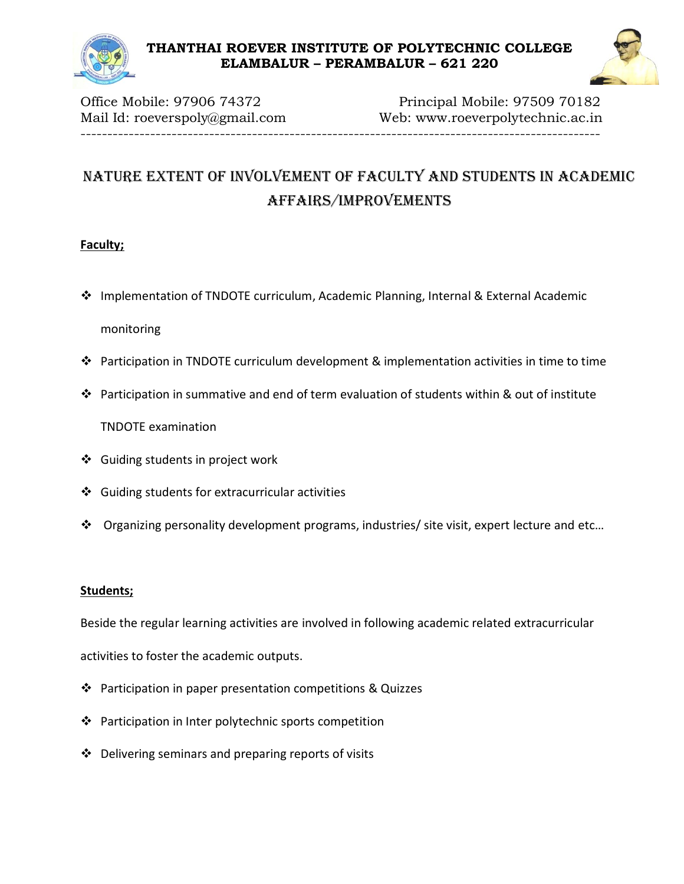



Office Mobile: 97906 74372 Principal Mobile: 97509 70182 Mail Id: roeverspoly@gmail.com Web: www.roeverpolytechnic.ac.in -------------------------------------------------------------------------------------------------

# Nature extent of involvement of faculty and students in academic affairs/improvements

#### **Faculty;**

- Implementation of TNDOTE curriculum, Academic Planning, Internal & External Academic monitoring
- Participation in TNDOTE curriculum development & implementation activities in time to time
- ◆ Participation in summative and end of term evaluation of students within & out of institute

TNDOTE examination

- Guiding students in project work
- $\div$  Guiding students for extracurricular activities
- Organizing personality development programs, industries/ site visit, expert lecture and etc…

#### **Students;**

Beside the regular learning activities are involved in following academic related extracurricular

activities to foster the academic outputs.

- $\cdot \cdot$  Participation in paper presentation competitions & Quizzes
- $\cdot \cdot$  Participation in Inter polytechnic sports competition
- $\cdot \cdot$  Delivering seminars and preparing reports of visits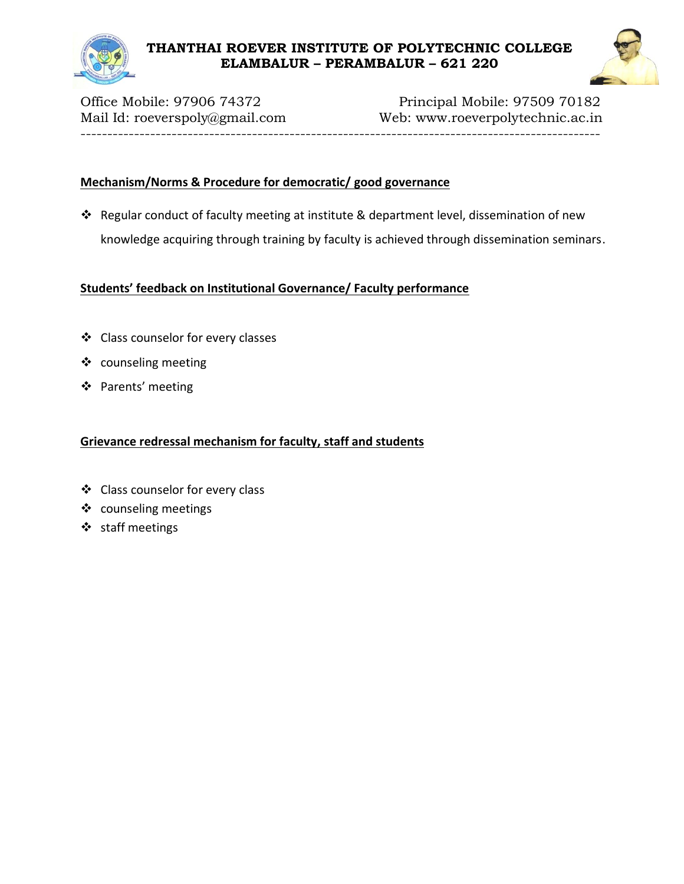

Office Mobile: 97906 74372 Principal Mobile: 97509 70182 Mail Id: roeverspoly@gmail.com Web: www.roeverpolytechnic.ac.in -------------------------------------------------------------------------------------------------

#### **Mechanism/Norms & Procedure for democratic/ good governance**

 Regular conduct of faculty meeting at institute & department level, dissemination of new knowledge acquiring through training by faculty is achieved through dissemination seminars.

#### **Students' feedback on Institutional Governance/ Faculty performance**

- Class counselor for every classes
- ❖ counseling meeting
- ❖ Parents' meeting

#### **Grievance redressal mechanism for faculty, staff and students**

- Class counselor for every class
- ❖ counseling meetings
- ❖ staff meetings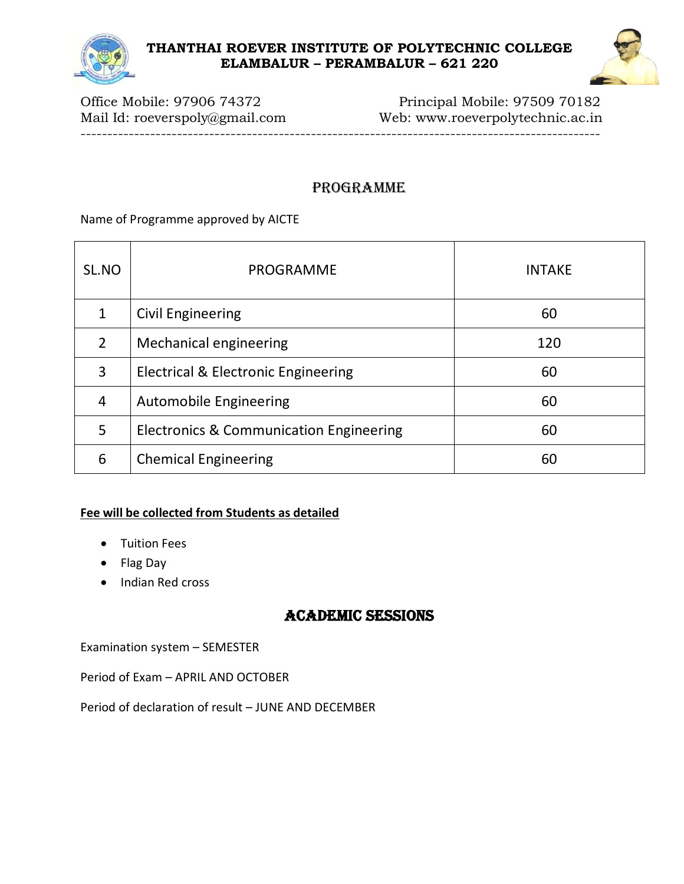

Office Mobile: 97906 74372 Principal Mobile: 97509 70182 Mail Id: roeverspoly@gmail.com Web: www.roeverpolytechnic.ac.in -------------------------------------------------------------------------------------------------

# PROGRAMME

Name of Programme approved by AICTE

| SL.NO | PROGRAMME                               | <b>INTAKE</b> |
|-------|-----------------------------------------|---------------|
| 1     | <b>Civil Engineering</b>                | 60            |
| 2     | <b>Mechanical engineering</b>           | 120           |
| 3     | Electrical & Electronic Engineering     | 60            |
| 4     | <b>Automobile Engineering</b>           | 60            |
| 5     | Electronics & Communication Engineering | 60            |
| 6     | <b>Chemical Engineering</b>             | 60            |

## **Fee will be collected from Students as detailed**

- Tuition Fees
- Flag Day
- Indian Red cross

# ACADEMIC SESSIONS

Examination system – SEMESTER

Period of Exam – APRIL AND OCTOBER

Period of declaration of result – JUNE AND DECEMBER

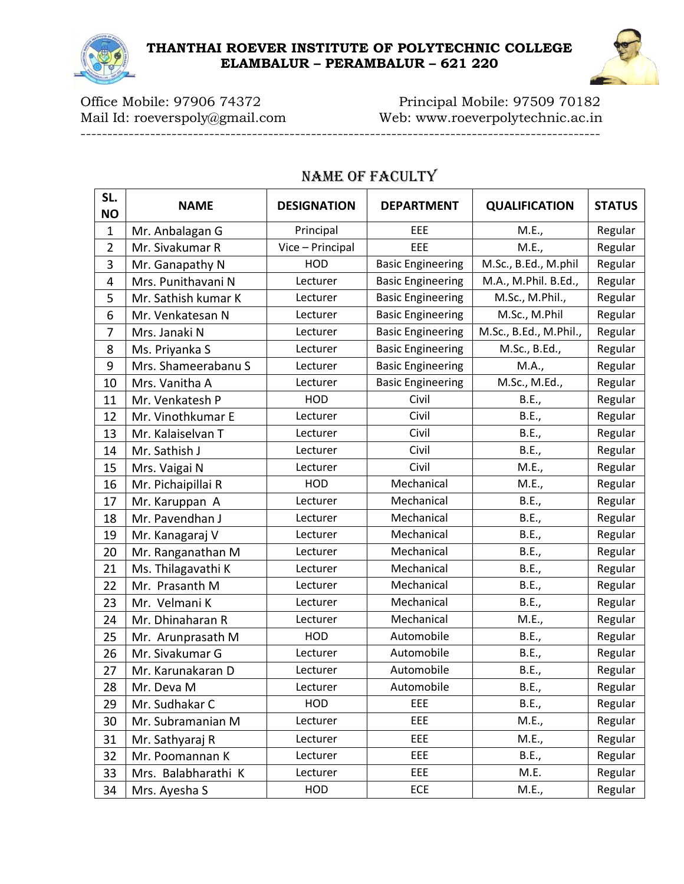



Office Mobile: 97906 74372 Principal Mobile: 97509 70182 Mail Id: roeverspoly@gmail.com Web: www.roeverpolytechnic.ac.in

-------------------------------------------------------------------------------------------------

| SL.<br><b>NO</b> | <b>NAME</b>         | <b>DESIGNATION</b> | <b>DEPARTMENT</b>        | <b>QUALIFICATION</b>   | <b>STATUS</b> |
|------------------|---------------------|--------------------|--------------------------|------------------------|---------------|
| $\mathbf 1$      | Mr. Anbalagan G     | Principal          | EEE                      | M.E.,                  | Regular       |
| $\overline{2}$   | Mr. Sivakumar R     | Vice - Principal   | EEE                      | M.E.,                  | Regular       |
| 3                | Mr. Ganapathy N     | HOD                | <b>Basic Engineering</b> | M.Sc., B.Ed., M.phil   | Regular       |
| 4                | Mrs. Punithavani N  | Lecturer           | <b>Basic Engineering</b> | M.A., M.Phil. B.Ed.,   | Regular       |
| 5                | Mr. Sathish kumar K | Lecturer           | <b>Basic Engineering</b> | M.Sc., M.Phil.,        | Regular       |
| 6                | Mr. Venkatesan N    | Lecturer           | <b>Basic Engineering</b> | M.Sc., M.Phil          | Regular       |
| 7                | Mrs. Janaki N       | Lecturer           | <b>Basic Engineering</b> | M.Sc., B.Ed., M.Phil., | Regular       |
| 8                | Ms. Priyanka S      | Lecturer           | <b>Basic Engineering</b> | M.Sc., B.Ed.,          | Regular       |
| 9                | Mrs. Shameerabanu S | Lecturer           | <b>Basic Engineering</b> | M.A.,                  | Regular       |
| 10               | Mrs. Vanitha A      | Lecturer           | <b>Basic Engineering</b> | M.Sc., M.Ed.,          | Regular       |
| 11               | Mr. Venkatesh P     | <b>HOD</b>         | Civil                    | B.E.,                  | Regular       |
| 12               | Mr. Vinothkumar E   | Lecturer           | Civil                    | B.E.,                  | Regular       |
| 13               | Mr. Kalaiselvan T   | Lecturer           | Civil                    | B.E.,                  | Regular       |
| 14               | Mr. Sathish J       | Lecturer           | Civil                    | B.E.,                  | Regular       |
| 15               | Mrs. Vaigai N       | Lecturer           | Civil                    | M.E.,                  | Regular       |
| 16               | Mr. Pichaipillai R  | <b>HOD</b>         | Mechanical               | M.E.,                  | Regular       |
| 17               | Mr. Karuppan A      | Lecturer           | Mechanical               | B.E.,                  | Regular       |
| 18               | Mr. Pavendhan J     | Lecturer           | Mechanical               | B.E.,                  | Regular       |
| 19               | Mr. Kanagaraj V     | Lecturer           | Mechanical               | B.E.,                  | Regular       |
| 20               | Mr. Ranganathan M   | Lecturer           | Mechanical               | B.E.,                  | Regular       |
| 21               | Ms. Thilagavathi K  | Lecturer           | Mechanical               | <b>B.E.,</b>           | Regular       |
| 22               | Mr. Prasanth M      | Lecturer           | Mechanical               | B.E.,                  | Regular       |
| 23               | Mr. Velmani K       | Lecturer           | Mechanical               | B.E.,                  | Regular       |
| 24               | Mr. Dhinaharan R    | Lecturer           | Mechanical               | M.E.,                  | Regular       |
| 25               | Mr. Arunprasath M   | <b>HOD</b>         | Automobile               | B.E.,                  | Regular       |
| 26               | Mr. Sivakumar G     | Lecturer           | Automobile               | B.E.,                  | Regular       |
| 27               | Mr. Karunakaran D   | Lecturer           | Automobile               | B.E.,                  | Regular       |
| 28               | Mr. Deva M          | Lecturer           | Automobile               | B.E.,                  | Regular       |
| 29               | Mr. Sudhakar C      | HOD                | EEE                      | B.E.,                  | Regular       |
| 30               | Mr. Subramanian M   | Lecturer           | EEE                      | M.E.,                  | Regular       |
| 31               | Mr. Sathyaraj R     | Lecturer           | EEE                      | M.E.,                  | Regular       |
| 32               | Mr. Poomannan K     | Lecturer           | EEE                      | B.E.,                  | Regular       |
| 33               | Mrs. Balabharathi K | Lecturer           | EEE                      | M.E.                   | Regular       |
| 34               | Mrs. Ayesha S       | HOD                | ECE                      | M.E.,                  | Regular       |

## Name of Faculty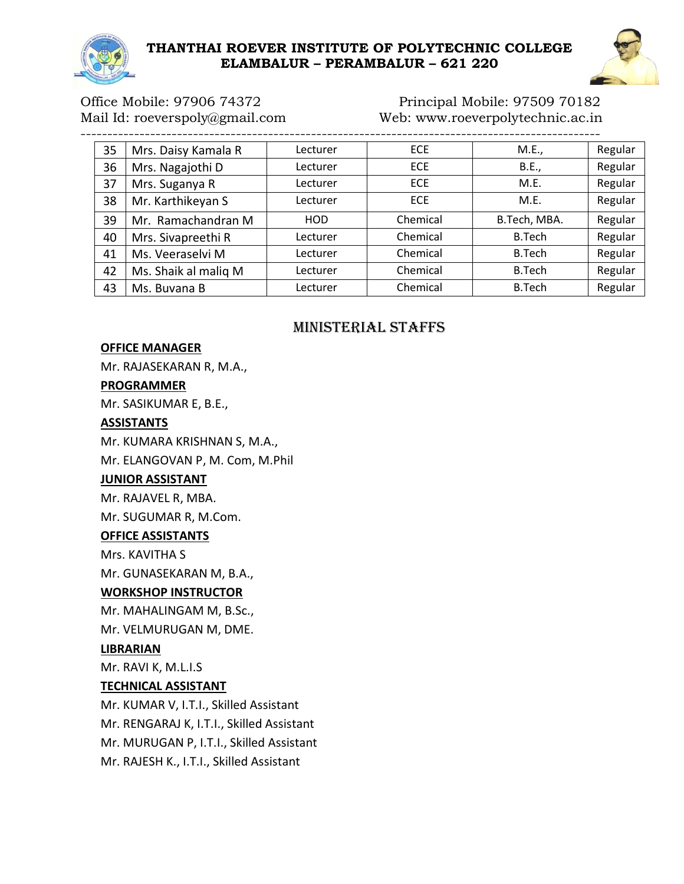



## Office Mobile: 97906 74372 Principal Mobile: 97509 70182 Mail Id: roeverspoly@gmail.com Web: www.roeverpolytechnic.ac.in

| 35 | Mrs. Daisy Kamala R  | Lecturer   | <b>ECE</b> | M.E.,        | Regular |
|----|----------------------|------------|------------|--------------|---------|
| 36 | Mrs. Nagajothi D     | Lecturer   | <b>ECE</b> | B.E.,        | Regular |
| 37 | Mrs. Suganya R       | Lecturer   | <b>ECE</b> | M.E.         | Regular |
| 38 | Mr. Karthikeyan S    | Lecturer   | <b>ECE</b> | M.E.         | Regular |
| 39 | Mr. Ramachandran M   | <b>HOD</b> | Chemical   | B.Tech, MBA. | Regular |
| 40 | Mrs. Sivapreethi R   | Lecturer   | Chemical   | B.Tech       | Regular |
| 41 | Ms. Veeraselvi M     | Lecturer   | Chemical   | B.Tech       | Regular |
| 42 | Ms. Shaik al malig M | Lecturer   | Chemical   | B.Tech       | Regular |
| 43 | Ms. Buvana B         | Lecturer   | Chemical   | B.Tech       | Regular |

## MINISTERIAL STAFFS

#### **OFFICE MANAGER**

Mr. RAJASEKARAN R, M.A.,

#### **PROGRAMMER**

Mr. SASIKUMAR E, B.E.,

#### **ASSISTANTS**

Mr. KUMARA KRISHNAN S, M.A.,

Mr. ELANGOVAN P, M. Com, M.Phil

#### **JUNIOR ASSISTANT**

Mr. RAJAVEL R, MBA.

Mr. SUGUMAR R, M.Com.

#### **OFFICE ASSISTANTS**

Mrs. KAVITHA S

Mr. GUNASEKARAN M, B.A.,

#### **WORKSHOP INSTRUCTOR**

Mr. MAHALINGAM M, B.Sc., Mr. VELMURUGAN M, DME.

#### **LIBRARIAN**

Mr. RAVI K, M.L.I.S

#### **TECHNICAL ASSISTANT**

Mr. KUMAR V, I.T.I., Skilled Assistant Mr. RENGARAJ K, I.T.I., Skilled Assistant Mr. MURUGAN P, I.T.I., Skilled Assistant Mr. RAJESH K., I.T.I., Skilled Assistant